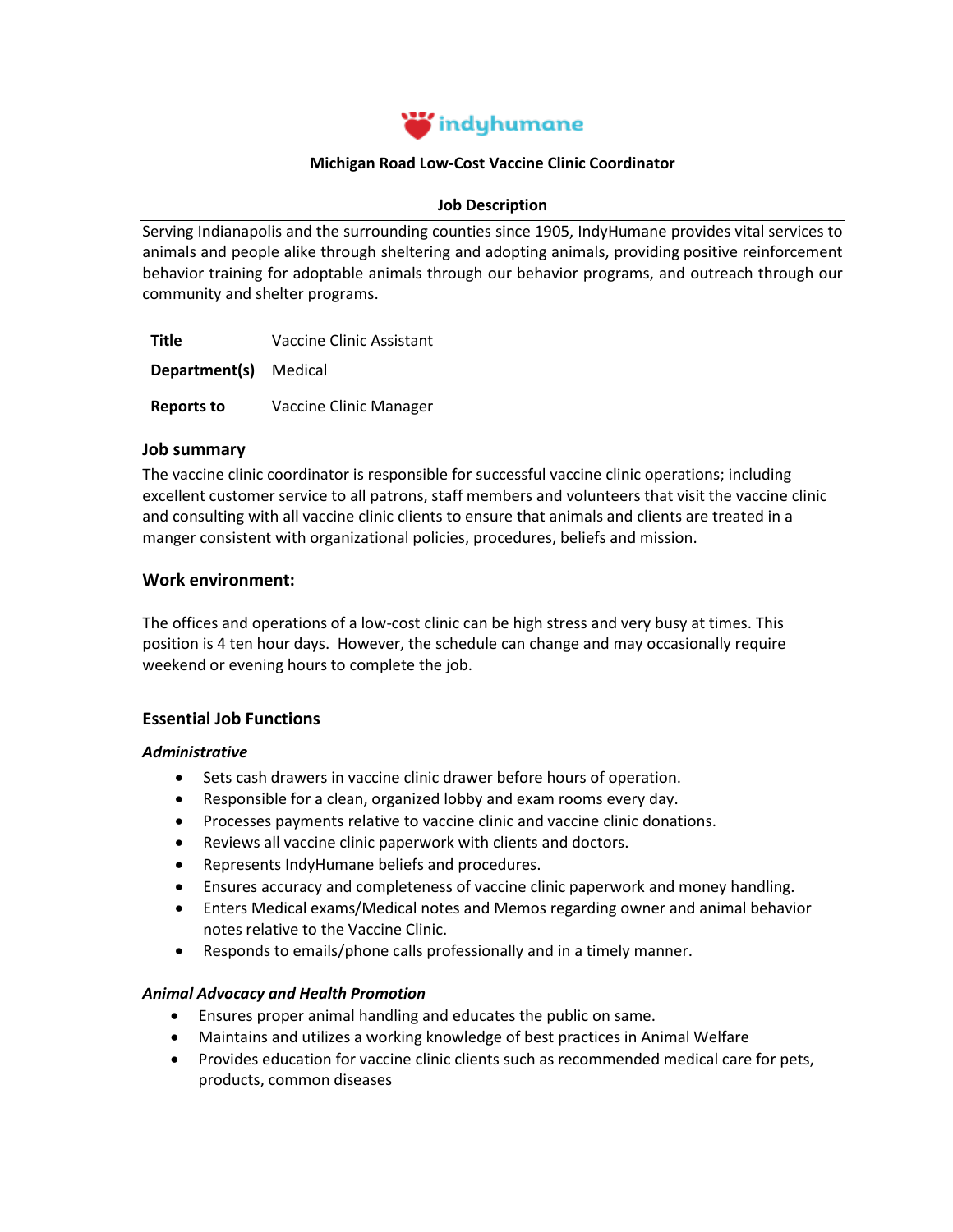

# **Michigan Road Low-Cost Vaccine Clinic Coordinator**

#### **Job Description**

Serving Indianapolis and the surrounding counties since 1905, IndyHumane provides vital services to animals and people alike through sheltering and [adopting animals,](https://indyhumane.org/find_pet) providing [positive reinforcement](https://indyhumane.org/services/#behavior-resources)  [behavior training](https://indyhumane.org/services/#behavior-resources) for adoptable animals through our behavior programs, and outreach through our community and shelter programs.

**Title** Vaccine Clinic Assistant

**Department(s)** Medical

**Reports to** Vaccine Clinic Manager

## **Job summary**

The vaccine clinic coordinator is responsible for successful vaccine clinic operations; including excellent customer service to all patrons, staff members and volunteers that visit the vaccine clinic and consulting with all vaccine clinic clients to ensure that animals and clients are treated in a manger consistent with organizational policies, procedures, beliefs and mission.

## **Work environment:**

The offices and operations of a low-cost clinic can be high stress and very busy at times. This position is 4 ten hour days. However, the schedule can change and may occasionally require weekend or evening hours to complete the job.

# **Essential Job Functions**

#### *Administrative*

- Sets cash drawers in vaccine clinic drawer before hours of operation.
- Responsible for a clean, organized lobby and exam rooms every day.
- Processes payments relative to vaccine clinic and vaccine clinic donations.
- Reviews all vaccine clinic paperwork with clients and doctors.
- Represents IndyHumane beliefs and procedures.
- Ensures accuracy and completeness of vaccine clinic paperwork and money handling.
- Enters Medical exams/Medical notes and Memos regarding owner and animal behavior notes relative to the Vaccine Clinic.
- Responds to emails/phone calls professionally and in a timely manner.

# *Animal Advocacy and Health Promotion*

- Ensures proper animal handling and educates the public on same.
- Maintains and utilizes a working knowledge of best practices in Animal Welfare
- Provides education for vaccine clinic clients such as recommended medical care for pets, products, common diseases